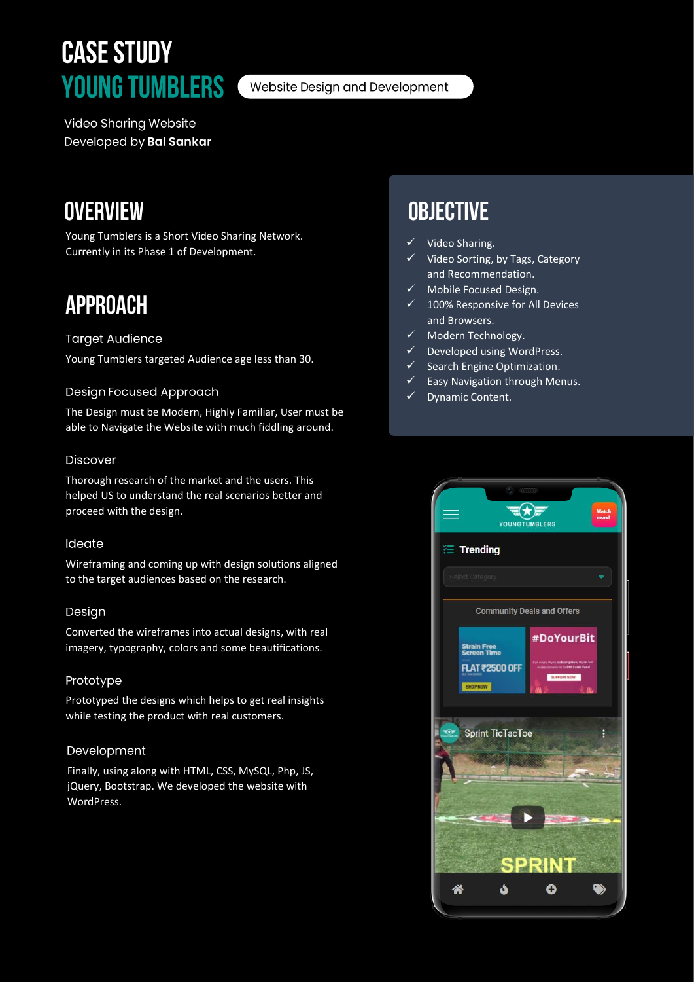# **CASE STUDY YOUNG TUMBLERS**

Website Design and Development

**Video Sharing Website** Developed by Bal Sankar

## **OVERVIEW**

Young Tumblers is a Short Video Sharing Network. Currently in its Phase 1 of Development.

# **APPROACH**

#### **Target Audience**

Young Tumblers targeted Audience age less than 30.

#### **Design Focused Approach**

The Design must be Modern, Highly Familiar, User must be able to Navigate the Website with much fiddling around.

#### **Discover**

Thorough research of the market and the users. This helped US to understand the real scenarios better and proceed with the design.

#### Ideate

Wireframing and coming up with design solutions aligned to the target audiences based on the research.

#### Design

Converted the wireframes into actual designs, with real imagery, typography, colors and some beautifications.

#### Prototype

Prototyped the designs which helps to get real insights while testing the product with real customers.

#### Development

Finally, using along with HTML, CSS, MySQL, Php, JS, jQuery, Bootstrap. We developed the website with WordPress.

## **OBJECTIVE**

- Video Sharing.
- Video Sorting, by Tags, Category and Recommendation.
- ✓ Mobile Focused Design.
- 100% Responsive for All Devices and Browsers.
- Modern Technology.
- Developed using WordPress.
- ✓ Search Engine Optimization.
- $\checkmark$  Easy Navigation through Menus.
- Dynamic Content.